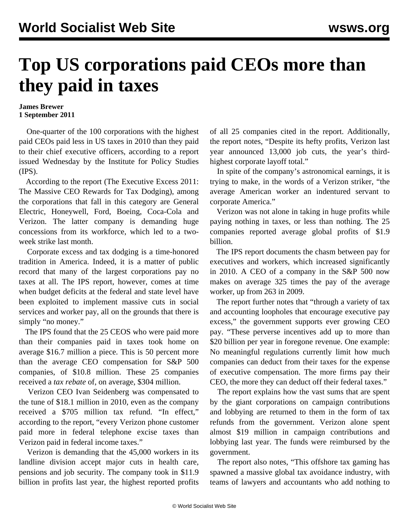## **Top US corporations paid CEOs more than they paid in taxes**

## **James Brewer 1 September 2011**

 One-quarter of the 100 corporations with the highest paid CEOs paid less in US taxes in 2010 than they paid to their chief executive officers, according to a report issued Wednesday by the Institute for Policy Studies (IPS).

 According to the report ([The Executive Excess 2011:](http://www.ips-dc.org/reports/executive_excess_2011_the_massive_ceo_rewards_for_tax_dodging/) [The Massive CEO Rewards for Tax Dodging\)](http://www.ips-dc.org/reports/executive_excess_2011_the_massive_ceo_rewards_for_tax_dodging/), among the corporations that fall in this category are General Electric, Honeywell, Ford, Boeing, Coca-Cola and Verizon. The latter company is demanding huge concessions from its workforce, which led to a twoweek strike last month.

 Corporate excess and tax dodging is a time-honored tradition in America. Indeed, it is a matter of public record that many of the largest corporations pay no taxes at all. The IPS report, however, comes at time when budget deficits at the federal and state level have been exploited to implement massive cuts in social services and worker pay, all on the grounds that there is simply "no money."

 The IPS found that the 25 CEOS who were paid more than their companies paid in taxes took home on average \$16.7 million a piece. This is 50 percent more than the average CEO compensation for S&P 500 companies, of \$10.8 million. These 25 companies received a *tax rebate* of, on average, \$304 million.

 Verizon CEO Ivan Seidenberg was compensated to the tune of \$18.1 million in 2010, even as the company received a \$705 million tax refund. "In effect," according to the report, "every Verizon phone customer paid more in federal telephone excise taxes than Verizon paid in federal income taxes."

 Verizon is demanding that the 45,000 workers in its landline division accept major cuts in health care, pensions and job security. The company took in \$11.9 billion in profits last year, the highest reported profits of all 25 companies cited in the report. Additionally, the report notes, "Despite its hefty profits, Verizon last year announced 13,000 job cuts, the year's thirdhighest corporate layoff total."

 In spite of the company's astronomical earnings, it is trying to make, in the words of a Verizon striker, "the average American worker an indentured servant to corporate America."

 Verizon was not alone in taking in huge profits while paying nothing in taxes, or less than nothing. The 25 companies reported average global profits of \$1.9 billion.

 The IPS report documents the chasm between pay for executives and workers, which increased significantly in 2010. A CEO of a company in the S&P 500 now makes on average 325 times the pay of the average worker, up from 263 in 2009.

 The report further notes that "through a variety of tax and accounting loopholes that encourage executive pay excess," the government supports ever growing CEO pay. "These perverse incentives add up to more than \$20 billion per year in foregone revenue. One example: No meaningful regulations currently limit how much companies can deduct from their taxes for the expense of executive compensation. The more firms pay their CEO, the more they can deduct off their federal taxes."

 The report explains how the vast sums that are spent by the giant corporations on campaign contributions and lobbying are returned to them in the form of tax refunds from the government. Verizon alone spent almost \$19 million in campaign contributions and lobbying last year. The funds were reimbursed by the government.

 The report also notes, "This offshore tax gaming has spawned a massive global tax avoidance industry, with teams of lawyers and accountants who add nothing to